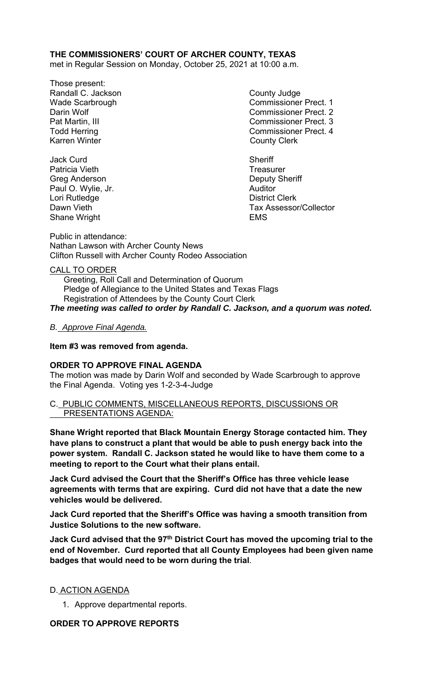# **THE COMMISSIONERS' COURT OF ARCHER COUNTY, TEXAS**

met in Regular Session on Monday, October 25, 2021 at 10:00 a.m.

- Those present: Randall C. Jackson County Judge Karren Winter **County Clerk**
- Jack Curd **Sheriff** Patricia Vieth **Treasurer** Treasurer Greg Anderson **Deputy Sheriff** Paul O. Wylie, Jr. **Auditor Paul O. Wylie, Jr. Auditor** Lori Rutledge **District Clerk** Shane Wright **EMS**

Wade Scarbrough Commissioner Prect. 1 Darin Wolf Commissioner Prect. 2 Pat Martin, III Commissioner Prect. 3 Todd Herring **Commissioner Prect.** 4

Dawn Vieth Tax Assessor/Collector

Public in attendance: Nathan Lawson with Archer County News Clifton Russell with Archer County Rodeo Association

# CALL TO ORDER

 Greeting, Roll Call and Determination of Quorum Pledge of Allegiance to the United States and Texas Flags Registration of Attendees by the County Court Clerk *The meeting was called to order by Randall C. Jackson, and a quorum was noted.* 

# *B. Approve Final Agenda.*

**Item #3 was removed from agenda.** 

# **ORDER TO APPROVE FINAL AGENDA**

The motion was made by Darin Wolf and seconded by Wade Scarbrough to approve the Final Agenda. Voting yes 1-2-3-4-Judge

### C. PUBLIC COMMENTS, MISCELLANEOUS REPORTS, DISCUSSIONS OR PRESENTATIONS AGENDA:

**Shane Wright reported that Black Mountain Energy Storage contacted him. They have plans to construct a plant that would be able to push energy back into the power system. Randall C. Jackson stated he would like to have them come to a meeting to report to the Court what their plans entail.** 

**Jack Curd advised the Court that the Sheriff's Office has three vehicle lease agreements with terms that are expiring. Curd did not have that a date the new vehicles would be delivered.** 

**Jack Curd reported that the Sheriff's Office was having a smooth transition from Justice Solutions to the new software.** 

Jack Curd advised that the 97<sup>th</sup> District Court has moved the upcoming trial to the **end of November. Curd reported that all County Employees had been given name badges that would need to be worn during the trial**.

# D. ACTION AGENDA

1. Approve departmental reports.

# **ORDER TO APPROVE REPORTS**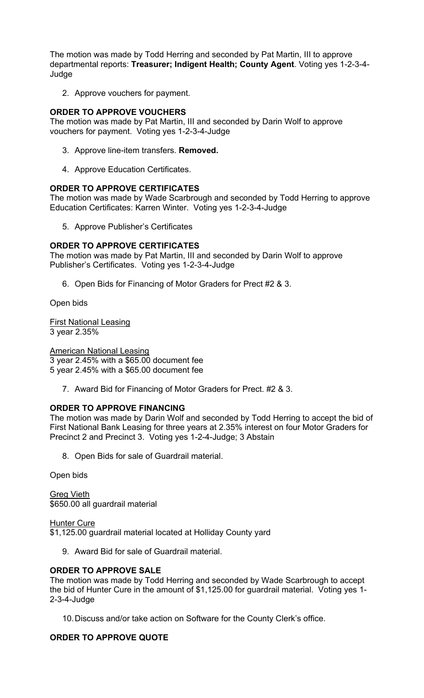The motion was made by Todd Herring and seconded by Pat Martin, III to approve departmental reports: **Treasurer; Indigent Health; County Agent**. Voting yes 1-2-3-4- Judge

2. Approve vouchers for payment.

### **ORDER TO APPROVE VOUCHERS**

The motion was made by Pat Martin, III and seconded by Darin Wolf to approve vouchers for payment. Voting yes 1-2-3-4-Judge

- 3. Approve line-item transfers. **Removed.**
- 4. Approve Education Certificates.

### **ORDER TO APPROVE CERTIFICATES**

The motion was made by Wade Scarbrough and seconded by Todd Herring to approve Education Certificates: Karren Winter. Voting yes 1-2-3-4-Judge

5. Approve Publisher's Certificates

### **ORDER TO APPROVE CERTIFICATES**

The motion was made by Pat Martin, III and seconded by Darin Wolf to approve Publisher's Certificates. Voting yes 1-2-3-4-Judge

6. Open Bids for Financing of Motor Graders for Prect #2 & 3.

Open bids

First National Leasing 3 year 2.35%

American National Leasing

3 year 2.45% with a \$65.00 document fee

5 year 2.45% with a \$65.00 document fee

7. Award Bid for Financing of Motor Graders for Prect. #2 & 3.

# **ORDER TO APPROVE FINANCING**

The motion was made by Darin Wolf and seconded by Todd Herring to accept the bid of First National Bank Leasing for three years at 2.35% interest on four Motor Graders for Precinct 2 and Precinct 3. Voting yes 1-2-4-Judge; 3 Abstain

8. Open Bids for sale of Guardrail material.

Open bids

Greg Vieth \$650.00 all guardrail material

Hunter Cure

\$1,125.00 guardrail material located at Holliday County yard

9. Award Bid for sale of Guardrail material.

# **ORDER TO APPROVE SALE**

The motion was made by Todd Herring and seconded by Wade Scarbrough to accept the bid of Hunter Cure in the amount of \$1,125.00 for guardrail material. Voting yes 1- 2-3-4-Judge

10. Discuss and/or take action on Software for the County Clerk's office.

# **ORDER TO APPROVE QUOTE**